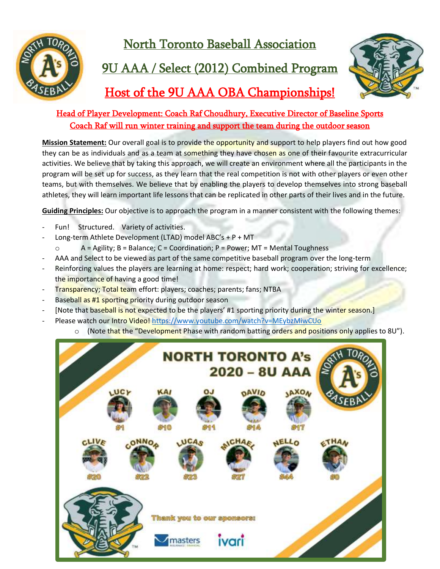

North Toronto Baseball Association

## 9U AAA / Select (2012) Combined Program



### Host of the 9U AAA OBA Championships!

### Head of Player Development: Coach Raf Choudhury, Executive Director of Baseline Sports Coach Raf will run winter training and support the team during the outdoor season

**Mission Statement:** Our overall goal is to provide the opportunity and support to help players find out how good they can be as individuals and as a team at something they have chosen as one of their favourite extracurricular activities. We believe that by taking this approach, we will create an environment where all the participants in the program will be set up for success, as they learn that the real competition is not with other players or even other teams, but with themselves. We believe that by enabling the players to develop themselves into strong baseball athletes, they will learn important life lessons that can be replicated in other parts of their lives and in the future.

**Guiding Principles:** Our objective is to approach the program in a manner consistent with the following themes:

- Fun! Structured. Variety of activities.
- Long-term Athlete Development (LTAD) model ABC's + P + MT
	- o A = Agility; B = Balance; C = Coordination; P = Power; MT = Mental Toughness
- AAA and Select to be viewed as part of the same competitive baseball program over the long-term
- Reinforcing values the players are learning at home: respect; hard work; cooperation; striving for excellence; the importance of having a good time!
- Transparency; Total team effort: players; coaches; parents; fans; NTBA
- Baseball as #1 sporting priority during outdoor season
- [Note that baseball is not expected to be the players' #1 sporting priority during the winter season.]
- Please watch our Intro Video[! https://www.youtube.com/watch?v=MEybzMiwCUo](https://www.youtube.com/watch?v=MEybzMiwCUo)
	- o (Note that the "Development Phase with random batting orders and positions only applies to 8U").

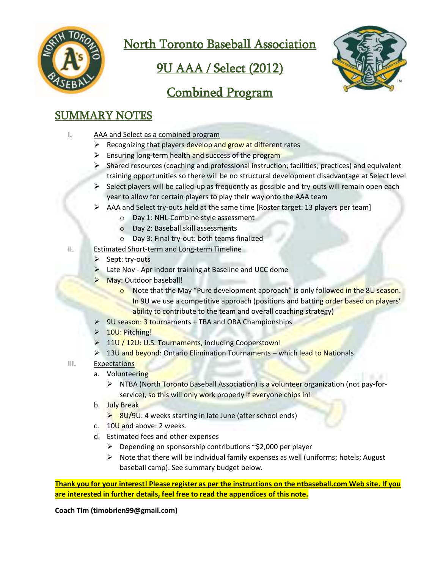![](_page_1_Picture_0.jpeg)

North Toronto Baseball Association

# 9U AAA / Select (2012)

![](_page_1_Picture_3.jpeg)

### Combined Program

### SUMMARY NOTES

- I. AAA and Select as a combined program
	- ➢ Recognizing that players develop and grow at different rates
	- $\triangleright$  Ensuring long-term health and success of the program
	- ➢ Shared resources (coaching and professional instruction; facilities; practices) and equivalent training opportunities so there will be no structural development disadvantage at Select level
	- $\triangleright$  Select players will be called-up as frequently as possible and try-outs will remain open each year to allow for certain players to play their way onto the AAA team
	- $\triangleright$  AAA and Select try-outs held at the same time [Roster target: 13 players per team]
		- o Day 1: NHL-Combine style assessment
		- o Day 2: Baseball skill assessments
		- o Day 3: Final try-out: both teams finalized
- II. Estimated Short-term and Long-term Timeline
	- $\triangleright$  Sept: try-outs
	- Late Nov Apr indoor training at Baseline and UCC dome
	- May: Outdoor baseball!
		- o Note that the May "Pure development approach" is only followed in the 8U season. In 9U we use a competitive approach (positions and batting order based on players' ability to contribute to the team and overall coaching strategy)
	- ➢ 9U season: 3 tournaments + TBA and OBA Championships
	- ➢ 10U: Pitching!
	- ➢ 11U / 12U: U.S. Tournaments, including Cooperstown!
	- ➢ 13U and beyond: Ontario Elimination Tournaments which lead to Nationals
- III. Expectations
	- a. Volunteering
		- ➢ NTBA (North Toronto Baseball Association) is a volunteer organization (not pay-forservice), so this will only work properly if everyone chips in!
	- b. July Break
		- $\geq$  8U/9U: 4 weeks starting in late June (after school ends)
	- c. 10U and above: 2 weeks.
	- d. Estimated fees and other expenses
		- ➢ Depending on sponsorship contributions ~\$2,000 per player
		- $\triangleright$  Note that there will be individual family expenses as well (uniforms; hotels; August baseball camp). See summary budget below.

**Thank you for your interest! Please register as per the instructions on the ntbaseball.com Web site. If you are interested in further details, feel free to read the appendices of this note.**

**Coach Tim (timobrien99@gmail.com)**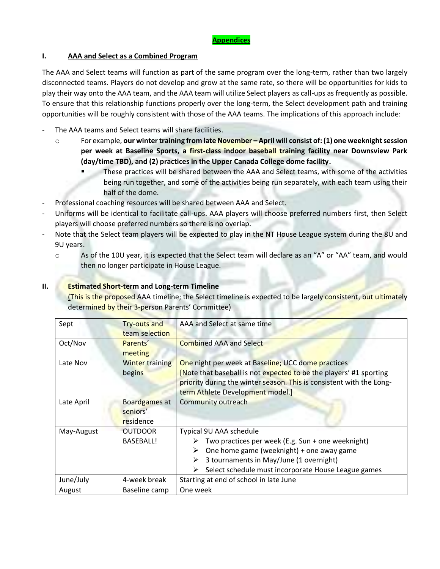#### **I. AAA and Select as a Combined Program**

The AAA and Select teams will function as part of the same program over the long-term, rather than two largely disconnected teams. Players do not develop and grow at the same rate, so there will be opportunities for kids to play their way onto the AAA team, and the AAA team will utilize Select players as call-ups as frequently as possible. To ensure that this relationship functions properly over the long-term, the Select development path and training opportunities will be roughly consistent with those of the AAA teams. The implications of this approach include:

- The AAA teams and Select teams will share facilities.
	- o For example, **our winter training from late November – April will consist of: (1) one weeknight session per week at Baseline Sports, a first-class indoor baseball training facility near Downsview Park (day/time TBD), and (2) practices in the Upper Canada College dome facility.**
		- These practices will be shared between the AAA and Select teams, with some of the activities being run together, and some of the activities being run separately, with each team using their half of the dome.
- Professional coaching resources will be shared between AAA and Select.
- Uniforms will be identical to facilitate call-ups. AAA players will choose preferred numbers first, then Select players will choose preferred numbers so there is no overlap.
- Note that the Select team players will be expected to play in the NT House League system during the 8U and 9U years.
	- o As of the 10U year, it is expected that the Select team will declare as an "A" or "AA" team, and would then no longer participate in House League.

#### **II. Estimated Short-term and Long-term Timeline**

(This is the proposed AAA timeline; the Select timeline is expected to be largely consistent, but ultimately determined by their 3-person Parents' Committee)

| Sept       | Try-outs and           | AAA and Select at same time                                          |  |  |  |
|------------|------------------------|----------------------------------------------------------------------|--|--|--|
|            | team selection         |                                                                      |  |  |  |
| Oct/Nov    | Parents'               | <b>Combined AAA and Select</b>                                       |  |  |  |
|            | meeting                |                                                                      |  |  |  |
| Late Nov   | <b>Winter training</b> | One night per week at Baseline; UCC dome practices                   |  |  |  |
|            | begins                 | [Note that baseball is not expected to be the players' #1 sporting   |  |  |  |
|            |                        | priority during the winter season. This is consistent with the Long- |  |  |  |
|            |                        | term Athlete Development model.]                                     |  |  |  |
| Late April | Boardgames at          | Community outreach                                                   |  |  |  |
|            | seniors'               |                                                                      |  |  |  |
|            | residence              |                                                                      |  |  |  |
| May-August | <b>OUTDOOR</b>         | Typical 9U AAA schedule                                              |  |  |  |
|            | <b>BASEBALL!</b>       | Two practices per week (E.g. Sun + one weeknight)<br>➤               |  |  |  |
|            |                        | One home game (weeknight) + one away game<br>➤                       |  |  |  |
|            |                        | 3 tournaments in May/June (1 overnight)<br>➤                         |  |  |  |
|            |                        | Select schedule must incorporate House League games<br>➤             |  |  |  |
| June/July  | 4-week break           | Starting at end of school in late June                               |  |  |  |
| August     | Baseline camp          | One week                                                             |  |  |  |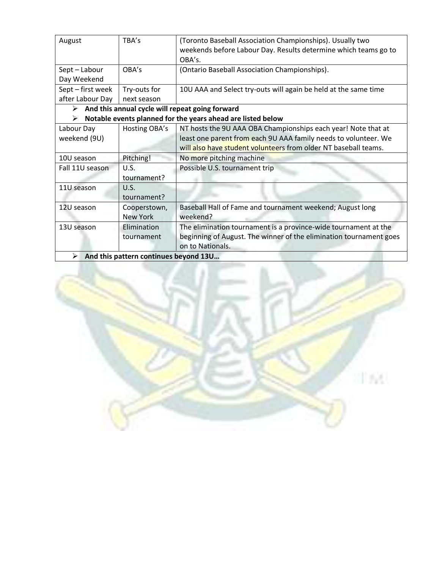| August                                                           | TBA's           | (Toronto Baseball Association Championships). Usually two          |  |  |  |
|------------------------------------------------------------------|-----------------|--------------------------------------------------------------------|--|--|--|
|                                                                  |                 | weekends before Labour Day. Results determine which teams go to    |  |  |  |
|                                                                  |                 | OBA's.                                                             |  |  |  |
| Sept-Labour                                                      | OBA's           | (Ontario Baseball Association Championships).                      |  |  |  |
| Day Weekend                                                      |                 |                                                                    |  |  |  |
| Sept - first week                                                | Try-outs for    | 10U AAA and Select try-outs will again be held at the same time    |  |  |  |
| after Labour Day                                                 | next season     |                                                                    |  |  |  |
| And this annual cycle will repeat going forward<br>➤             |                 |                                                                    |  |  |  |
| Notable events planned for the years ahead are listed below<br>➤ |                 |                                                                    |  |  |  |
| Labour Day                                                       | Hosting OBA's   | NT hosts the 9U AAA OBA Championships each year! Note that at      |  |  |  |
| weekend (9U)                                                     |                 | least one parent from each 9U AAA family needs to volunteer. We    |  |  |  |
|                                                                  |                 | will also have student volunteers from older NT baseball teams.    |  |  |  |
| 10U season                                                       | Pitching!       | No more pitching machine                                           |  |  |  |
| Fall 11U season                                                  | U.S.            | Possible U.S. tournament trip                                      |  |  |  |
|                                                                  | tournament?     |                                                                    |  |  |  |
| 11U season                                                       | U.S.            |                                                                    |  |  |  |
|                                                                  | tournament?     |                                                                    |  |  |  |
| 12U season                                                       | Cooperstown,    | Baseball Hall of Fame and tournament weekend; August long          |  |  |  |
|                                                                  | <b>New York</b> | weekend?                                                           |  |  |  |
| 13U season                                                       | Elimination     | The elimination tournament is a province-wide tournament at the    |  |  |  |
|                                                                  | tournament      | beginning of August. The winner of the elimination tournament goes |  |  |  |
|                                                                  |                 | on to Nationals.                                                   |  |  |  |
| And this pattern continues beyond 13U<br>➤                       |                 |                                                                    |  |  |  |

![](_page_3_Picture_1.jpeg)